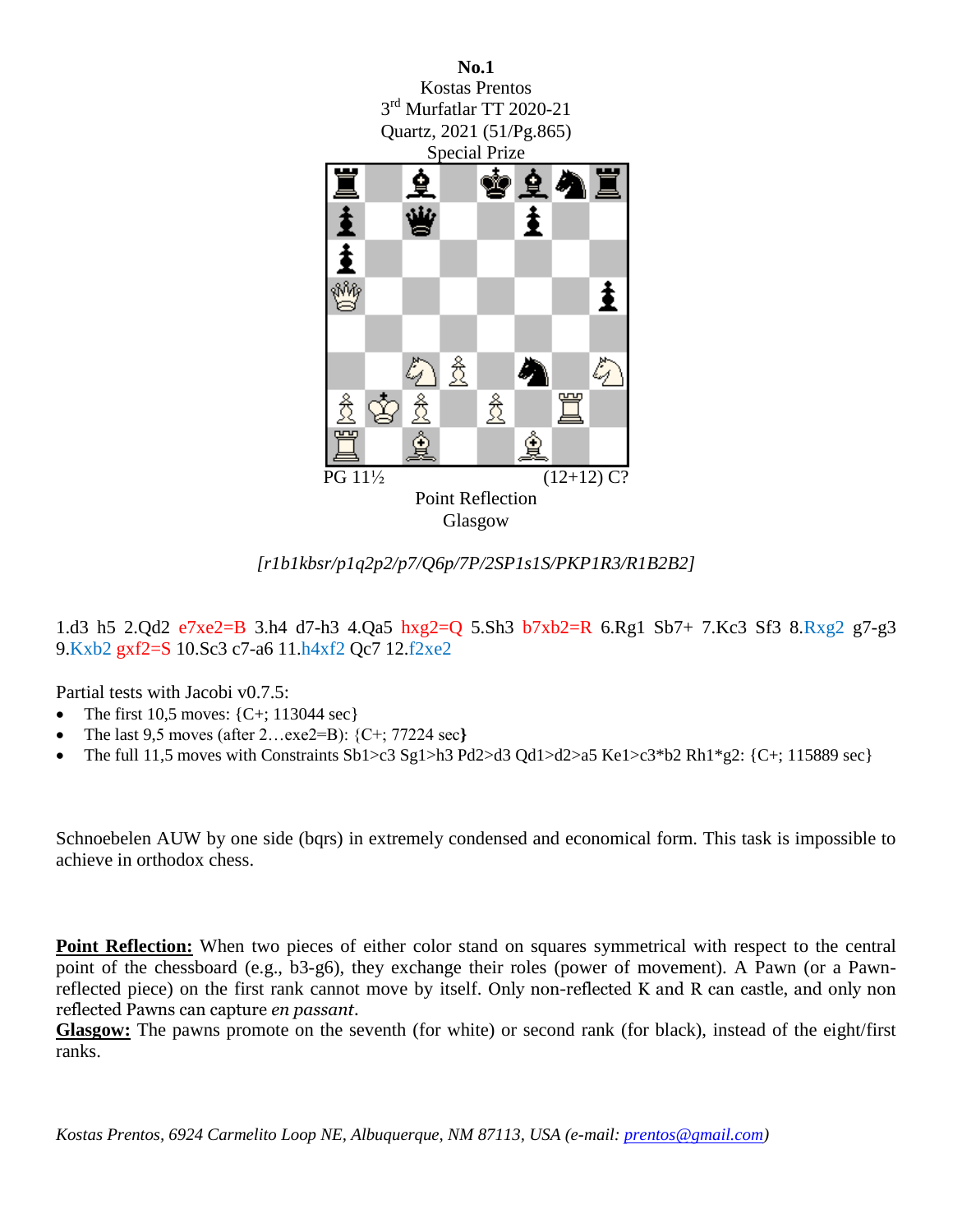

*[r1b1kbsr/p1q2p2/p7/Q6p/7P/2SP1s1S/PKP1R3/R1B2B2]*

1.d3 h5 2.Qd2 e7xe2=B 3.h4 d7-h3 4.Qa5 hxg2=Q 5.Sh3 b7xb2=R 6.Rg1 Sb7+ 7.Kc3 Sf3 8.Rxg2 g7-g3 9.Kxb2 gxf2=S 10.Sc3 c7-a6 11.h4xf2 Qc7 12.f2xe2

Partial tests with Jacobi v0.7.5:

- The first 10,5 moves:  $\{C^+\; 113044 \; \text{sec}\}$
- The last 9,5 moves (after 2…exe2=B): {C+; 77224 sec**}**
- The full 11,5 moves with Constraints Sb1>c3 Sg1>h3 Pd2>d3 Qd1>d2>a5 Ke1>c3\*b2 Rh1\*g2: {C+; 115889 sec}

Schnoebelen AUW by one side (bqrs) in extremely condensed and economical form. This task is impossible to achieve in orthodox chess.

**Point Reflection:** When two pieces of either color stand on squares symmetrical with respect to the central point of the chessboard (e.g., b3-g6), they exchange their roles (power of movement). A Pawn (or a Pawnreflected piece) on the first rank cannot move by itself. Only non-reflected K and R can castle, and only non reflected Pawns can capture *en passant*.

**Glasgow:** The pawns promote on the seventh (for white) or second rank (for black), instead of the eight/first ranks.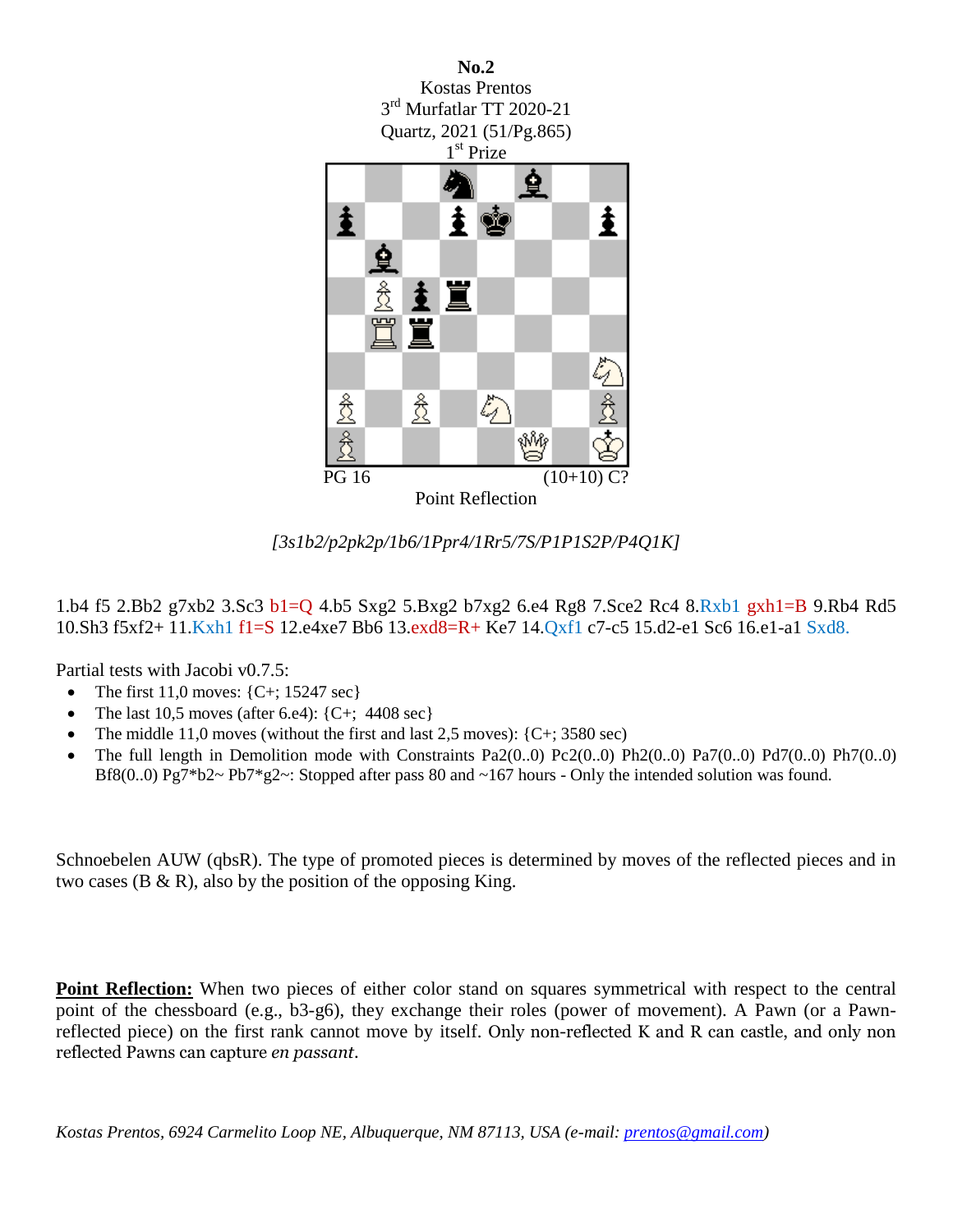



1.b4 f5 2.Bb2 g7xb2 3.Sc3 b1=Q 4.b5 Sxg2 5.Bxg2 b7xg2 6.e4 Rg8 7.Sce2 Rc4 8.Rxb1 gxh1=B 9.Rb4 Rd5 10.Sh3 f5xf2+ 11.Kxh1 f1=S 12.e4xe7 Bb6 13.exd8=R+ Ke7 14.Qxf1 c7-c5 15.d2-e1 Sc6 16.e1-a1 Sxd8.

Partial tests with Jacobi v0.7.5:

- The first 11,0 moves:  ${C+; 15247 \text{ sec}}$
- The last 10.5 moves (after 6.e4):  $\{C^+\; 4408 \text{ sec}\}$
- The middle 11,0 moves (without the first and last  $2,5$  moves): {C+; 3580 sec)
- The full length in Demolition mode with Constraints Pa2(0..0) Pc2(0..0) Ph2(0..0) Pa7(0..0) Pd7(0..0) Ph7(0..0) Bf8(0..0) Pg7\*b2~ Pb7\*g2~: Stopped after pass 80 and ~167 hours - Only the intended solution was found.

Schnoebelen AUW (qbsR). The type of promoted pieces is determined by moves of the reflected pieces and in two cases ( $B \& R$ ), also by the position of the opposing King.

**Point Reflection:** When two pieces of either color stand on squares symmetrical with respect to the central point of the chessboard (e.g., b3-g6), they exchange their roles (power of movement). A Pawn (or a Pawnreflected piece) on the first rank cannot move by itself. Only non-reflected K and R can castle, and only non reflected Pawns can capture *en passant*.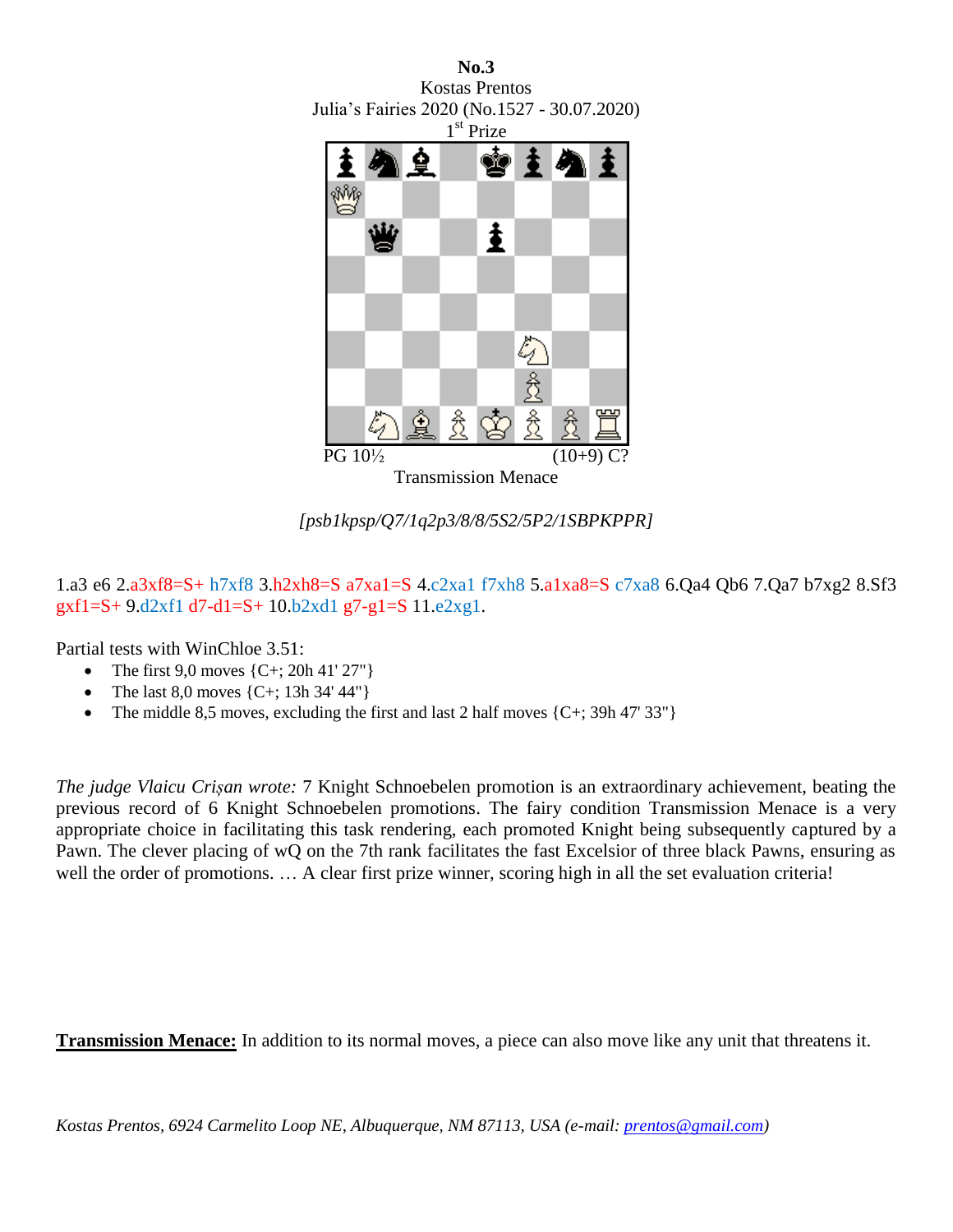

*[psb1kpsp/Q7/1q2p3/8/8/5S2/5P2/1SBPKPPR]*

1.a3 e6 2.a3xf8=S+ h7xf8 3.h2xh8=S a7xa1=S 4.c2xa1 f7xh8 5.a1xa8=S c7xa8 6.Qa4 Qb6 7.Qa7 b7xg2 8.Sf3  $gxf1=S+9.d2xf1 d7-d1=S+10.b2xd1 g7-g1=S11.e2xg1.$ 

Partial tests with WinChloe 3.51:

- The first  $9.0$  moves  ${C+}$ ;  $20h 41' 27''$ }
- The last 8,0 moves {C+; 13h 34' 44"}
- The middle 8,5 moves, excluding the first and last 2 half moves  $\{C^+\}$ ; 39h 47' 33"}

*The judge Vlaicu Crișan wrote:* 7 Knight Schnoebelen promotion is an extraordinary achievement, beating the previous record of 6 Knight Schnoebelen promotions. The fairy condition Transmission Menace is a very appropriate choice in facilitating this task rendering, each promoted Knight being subsequently captured by a Pawn. The clever placing of wQ on the 7th rank facilitates the fast Excelsior of three black Pawns, ensuring as well the order of promotions. ... A clear first prize winner, scoring high in all the set evaluation criteria!

**Transmission Menace:** In addition to its normal moves, a piece can also move like any unit that threatens it.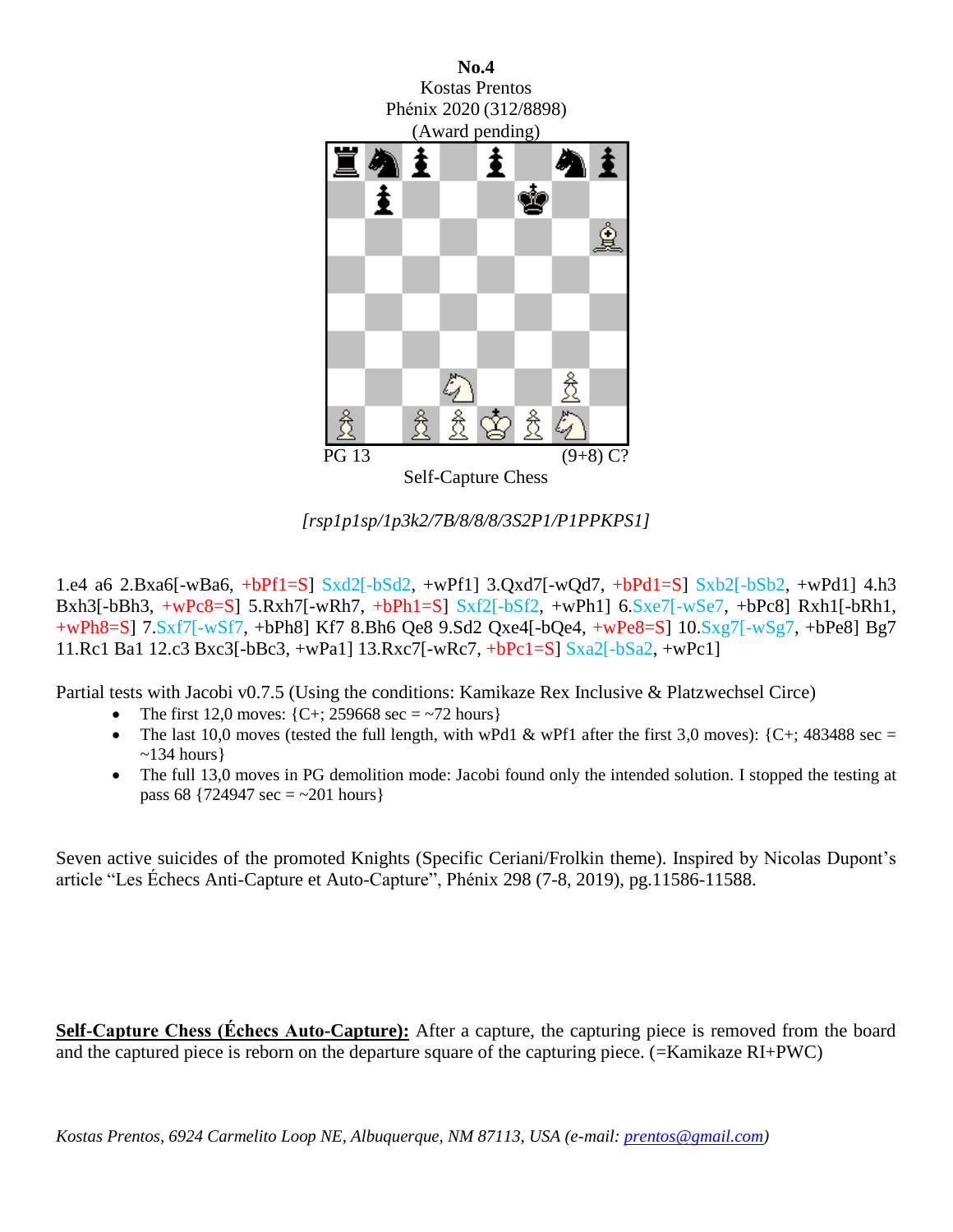

*[rsp1p1sp/1p3k2/7B/8/8/8/3S2P1/P1PPKPS1]*

1.e4 a6 2.Bxa6[-wBa6, +bPf1=S] Sxd2[-bSd2, +wPf1] 3.Qxd7[-wQd7, +bPd1=S] Sxb2[-bSb2, +wPd1] 4.h3 Bxh3[-bBh3, +wPc8=S] 5.Rxh7[-wRh7, +bPh1=S] Sxf2[-bSf2, +wPh1] 6.Sxe7[-wSe7, +bPc8] Rxh1[-bRh1, +wPh8=S] 7.Sxf7[-wSf7, +bPh8] Kf7 8.Bh6 Qe8 9.Sd2 Qxe4[-bQe4, +wPe8=S] 10.Sxg7[-wSg7, +bPe8] Bg7 11.Rc1 Ba1 12.c3 Bxc3[-bBc3, +wPa1] 13.Rxc7[-wRc7, +bPc1=S] Sxa2[-bSa2, +wPc1]

Partial tests with Jacobi v0.7.5 (Using the conditions: Kamikaze Rex Inclusive & Platzwechsel Circe)

- The first 12,0 moves:  $\{C^+\}$ ; 259668 sec = ~72 hours}
- The last 10,0 moves (tested the full length, with wPd1 & wPf1 after the first 3,0 moves):  $\{C^+$ ; 483488 sec =  $\sim$ 134 hours}
- The full 13,0 moves in PG demolition mode: Jacobi found only the intended solution. I stopped the testing at pass 68  $\{724947 \text{ sec} = -201 \text{ hours}\}$

Seven active suicides of the promoted Knights (Specific Ceriani/Frolkin theme). Inspired by Nicolas Dupont's article "Les Échecs Anti-Capture et Auto-Capture", Phénix 298 (7-8, 2019), pg.11586-11588.

**Self-Capture Chess (Échecs Auto-Capture):** After a capture, the capturing piece is removed from the board and the captured piece is reborn on the departure square of the capturing piece. (=Kamikaze RI+PWC)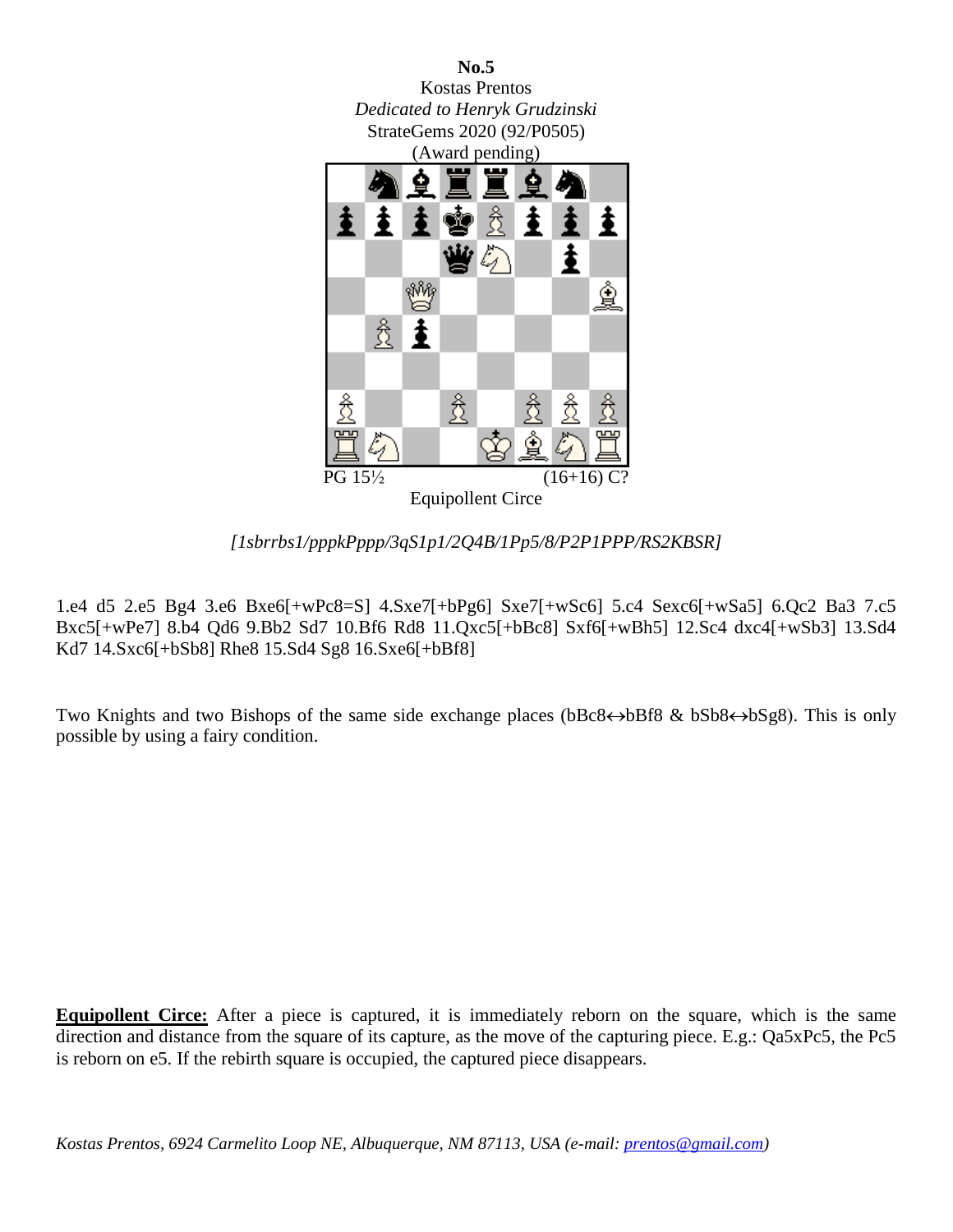

*[1sbrrbs1/pppkPppp/3qS1p1/2Q4B/1Pp5/8/P2P1PPP/RS2KBSR]*

1.e4 d5 2.e5 Bg4 3.e6 Bxe6[+wPc8=S] 4.Sxe7[+bPg6] Sxe7[+wSc6] 5.c4 Sexc6[+wSa5] 6.Qc2 Ba3 7.c5 Bxc5[+wPe7] 8.b4 Qd6 9.Bb2 Sd7 10.Bf6 Rd8 11.Qxc5[+bBc8] Sxf6[+wBh5] 12.Sc4 dxc4[+wSb3] 13.Sd4 Kd7 14.Sxc6[+bSb8] Rhe8 15.Sd4 Sg8 16.Sxe6[+bBf8]

Two Knights and two Bishops of the same side exchange places (bBc8 $\leftrightarrow$ bBf8 & bSb8 $\leftrightarrow$ bSg8). This is only possible by using a fairy condition.

**Equipollent Circe:** After a piece is captured, it is immediately reborn on the square, which is the same direction and distance from the square of its capture, as the move of the capturing piece. E.g.: Qa5xPc5, the Pc5 is reborn on e5. If the rebirth square is occupied, the captured piece disappears.